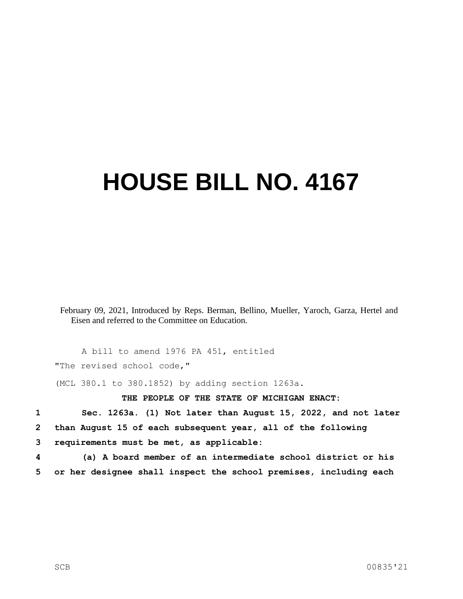## **HOUSE BILL NO. 4167**

February 09, 2021, Introduced by Reps. Berman, Bellino, Mueller, Yaroch, Garza, Hertel and Eisen and referred to the Committee on Education.

A bill to amend 1976 PA 451, entitled "The revised school code,"

(MCL 380.1 to 380.1852) by adding section 1263a.

## **THE PEOPLE OF THE STATE OF MICHIGAN ENACT:**

**1 Sec. 1263a. (1) Not later than August 15, 2022, and not later 2 than August 15 of each subsequent year, all of the following 3 requirements must be met, as applicable:**

**4 (a) A board member of an intermediate school district or his 5 or her designee shall inspect the school premises, including each**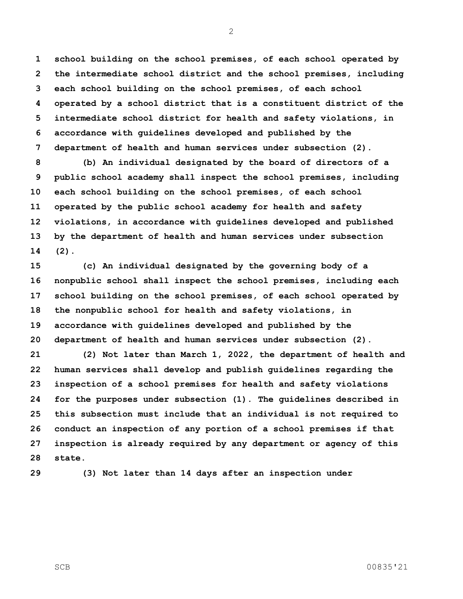**school building on the school premises, of each school operated by the intermediate school district and the school premises, including each school building on the school premises, of each school operated by a school district that is a constituent district of the intermediate school district for health and safety violations, in accordance with guidelines developed and published by the department of health and human services under subsection (2).**

 **(b) An individual designated by the board of directors of a public school academy shall inspect the school premises, including each school building on the school premises, of each school operated by the public school academy for health and safety violations, in accordance with guidelines developed and published by the department of health and human services under subsection (2).**

 **(c) An individual designated by the governing body of a nonpublic school shall inspect the school premises, including each school building on the school premises, of each school operated by the nonpublic school for health and safety violations, in accordance with guidelines developed and published by the department of health and human services under subsection (2).**

 **(2) Not later than March 1, 2022, the department of health and human services shall develop and publish guidelines regarding the inspection of a school premises for health and safety violations for the purposes under subsection (1). The guidelines described in this subsection must include that an individual is not required to conduct an inspection of any portion of a school premises if that inspection is already required by any department or agency of this state.**

**(3) Not later than 14 days after an inspection under**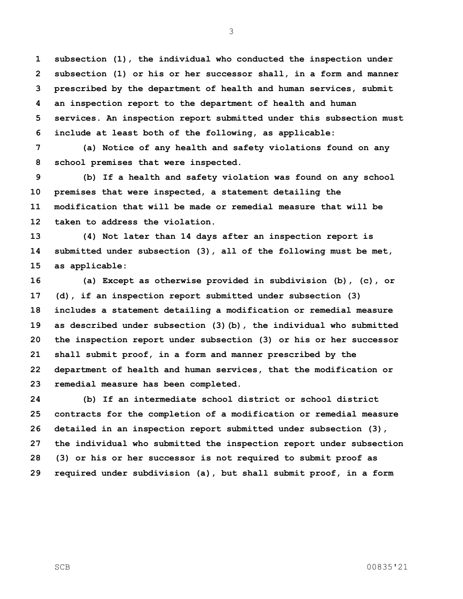**subsection (1), the individual who conducted the inspection under subsection (1) or his or her successor shall, in a form and manner prescribed by the department of health and human services, submit an inspection report to the department of health and human services. An inspection report submitted under this subsection must include at least both of the following, as applicable:**

 **(a) Notice of any health and safety violations found on any school premises that were inspected.**

 **(b) If a health and safety violation was found on any school premises that were inspected, a statement detailing the modification that will be made or remedial measure that will be taken to address the violation.**

 **(4) Not later than 14 days after an inspection report is submitted under subsection (3), all of the following must be met, as applicable:**

 **(a) Except as otherwise provided in subdivision (b), (c), or (d), if an inspection report submitted under subsection (3) includes a statement detailing a modification or remedial measure as described under subsection (3)(b), the individual who submitted the inspection report under subsection (3) or his or her successor shall submit proof, in a form and manner prescribed by the department of health and human services, that the modification or remedial measure has been completed.**

 **(b) If an intermediate school district or school district contracts for the completion of a modification or remedial measure detailed in an inspection report submitted under subsection (3), the individual who submitted the inspection report under subsection (3) or his or her successor is not required to submit proof as required under subdivision (a), but shall submit proof, in a form**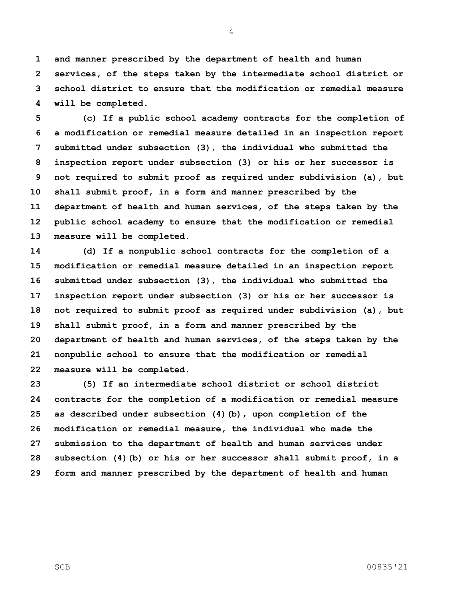**and manner prescribed by the department of health and human services, of the steps taken by the intermediate school district or school district to ensure that the modification or remedial measure will be completed.**

 **(c) If a public school academy contracts for the completion of a modification or remedial measure detailed in an inspection report submitted under subsection (3), the individual who submitted the inspection report under subsection (3) or his or her successor is not required to submit proof as required under subdivision (a), but shall submit proof, in a form and manner prescribed by the department of health and human services, of the steps taken by the public school academy to ensure that the modification or remedial measure will be completed.**

 **(d) If a nonpublic school contracts for the completion of a modification or remedial measure detailed in an inspection report submitted under subsection (3), the individual who submitted the inspection report under subsection (3) or his or her successor is not required to submit proof as required under subdivision (a), but shall submit proof, in a form and manner prescribed by the department of health and human services, of the steps taken by the nonpublic school to ensure that the modification or remedial measure will be completed.**

 **(5) If an intermediate school district or school district contracts for the completion of a modification or remedial measure as described under subsection (4)(b), upon completion of the modification or remedial measure, the individual who made the submission to the department of health and human services under subsection (4)(b) or his or her successor shall submit proof, in a form and manner prescribed by the department of health and human** 

SCB 00835'21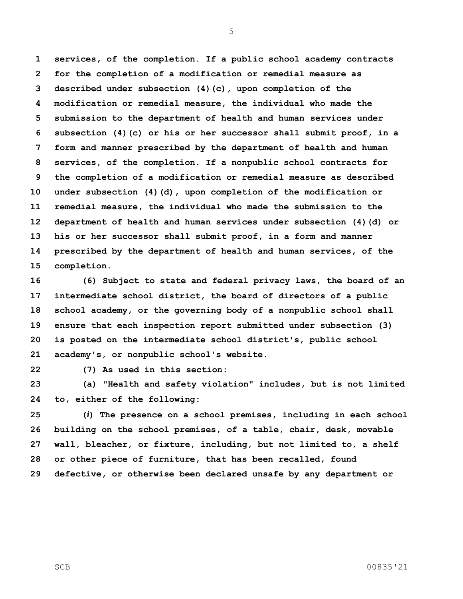**services, of the completion. If a public school academy contracts for the completion of a modification or remedial measure as described under subsection (4)(c), upon completion of the modification or remedial measure, the individual who made the submission to the department of health and human services under subsection (4)(c) or his or her successor shall submit proof, in a form and manner prescribed by the department of health and human services, of the completion. If a nonpublic school contracts for the completion of a modification or remedial measure as described under subsection (4)(d), upon completion of the modification or remedial measure, the individual who made the submission to the department of health and human services under subsection (4)(d) or his or her successor shall submit proof, in a form and manner prescribed by the department of health and human services, of the completion.**

 **(6) Subject to state and federal privacy laws, the board of an intermediate school district, the board of directors of a public school academy, or the governing body of a nonpublic school shall ensure that each inspection report submitted under subsection (3) is posted on the intermediate school district's, public school academy's, or nonpublic school's website.**

**(7) As used in this section:** 

 **(a) "Health and safety violation" includes, but is not limited to, either of the following:**

 **(***i***) The presence on a school premises, including in each school building on the school premises, of a table, chair, desk, movable wall, bleacher, or fixture, including, but not limited to, a shelf or other piece of furniture, that has been recalled, found defective, or otherwise been declared unsafe by any department or**